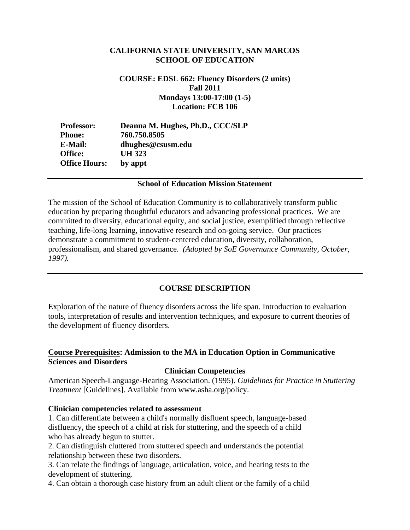## **CALIFORNIA STATE UNIVERSITY, SAN MARCOS SCHOOL OF EDUCATION**

#### **COURSE: EDSL 662: Fluency Disorders (2 units) Fall 2011 Mondays 13:00-17:00 (1-5) Location: FCB 106**

| <b>Professor:</b>    | Deanna M. Hughes, Ph.D., CCC/SLP |
|----------------------|----------------------------------|
| <b>Phone:</b>        | 760.750.8505                     |
| E-Mail:              | dhughes@csusm.edu                |
| Office:              | UH 323                           |
| <b>Office Hours:</b> | by appt                          |

#### **School of Education Mission Statement**

The mission of the School of Education Community is to collaboratively transform public education by preparing thoughtful educators and advancing professional practices. We are committed to diversity, educational equity, and social justice, exemplified through reflective teaching, life-long learning, innovative research and on-going service. Our practices demonstrate a commitment to student-centered education, diversity, collaboration, professionalism, and shared governance. *(Adopted by SoE Governance Community, October, 1997).* 

#### **COURSE DESCRIPTION**

Exploration of the nature of fluency disorders across the life span. Introduction to evaluation tools, interpretation of results and intervention techniques, and exposure to current theories of the development of fluency disorders.

## **Course Prerequisites: Admission to the MA in Education Option in Communicative Sciences and Disorders**

#### **Clinician Competencies**

American Speech-Language-Hearing Association. (1995). *Guidelines for Practice in Stuttering Treatment* [Guidelines]. Available from www.asha.org/policy.

#### **Clinician competencies related to assessment**

1. Can differentiate between a child's normally disfluent speech, language-based disfluency, the speech of a child at risk for stuttering, and the speech of a child who has already begun to stutter.

2. Can distinguish cluttered from stuttered speech and understands the potential relationship between these two disorders.

3. Can relate the findings of language, articulation, voice, and hearing tests to the development of stuttering.

4. Can obtain a thorough case history from an adult client or the family of a child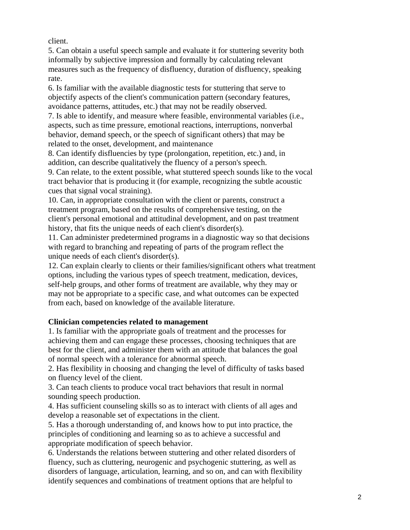client.

5. Can obtain a useful speech sample and evaluate it for stuttering severity both informally by subjective impression and formally by calculating relevant measures such as the frequency of disfluency, duration of disfluency, speaking rate.

6. Is familiar with the available diagnostic tests for stuttering that serve to objectify aspects of the client's communication pattern (secondary features, avoidance patterns, attitudes, etc.) that may not be readily observed.

7. Is able to identify, and measure where feasible, environmental variables (i.e., aspects, such as time pressure, emotional reactions, interruptions, nonverbal behavior, demand speech, or the speech of significant others) that may be related to the onset, development, and maintenance

8. Can identify disfluencies by type (prolongation, repetition, etc.) and, in addition, can describe qualitatively the fluency of a person's speech.

9. Can relate, to the extent possible, what stuttered speech sounds like to the vocal tract behavior that is producing it (for example, recognizing the subtle acoustic cues that signal vocal straining).

10. Can, in appropriate consultation with the client or parents, construct a treatment program, based on the results of comprehensive testing, on the client's personal emotional and attitudinal development, and on past treatment history, that fits the unique needs of each client's disorder(s).

11. Can administer predetermined programs in a diagnostic way so that decisions with regard to branching and repeating of parts of the program reflect the unique needs of each client's disorder(s).

12. Can explain clearly to clients or their families/significant others what treatment options, including the various types of speech treatment, medication, devices, self-help groups, and other forms of treatment are available, why they may or may not be appropriate to a specific case, and what outcomes can be expected from each, based on knowledge of the available literature.

# **Clinician competencies related to management**

1. Is familiar with the appropriate goals of treatment and the processes for achieving them and can engage these processes, choosing techniques that are best for the client, and administer them with an attitude that balances the goal of normal speech with a tolerance for abnormal speech.

2. Has flexibility in choosing and changing the level of difficulty of tasks based on fluency level of the client.

3. Can teach clients to produce vocal tract behaviors that result in normal sounding speech production.

4. Has sufficient counseling skills so as to interact with clients of all ages and develop a reasonable set of expectations in the client.

5. Has a thorough understanding of, and knows how to put into practice, the principles of conditioning and learning so as to achieve a successful and appropriate modification of speech behavior.

6. Understands the relations between stuttering and other related disorders of fluency, such as cluttering, neurogenic and psychogenic stuttering, as well as disorders of language, articulation, learning, and so on, and can with flexibility identify sequences and combinations of treatment options that are helpful to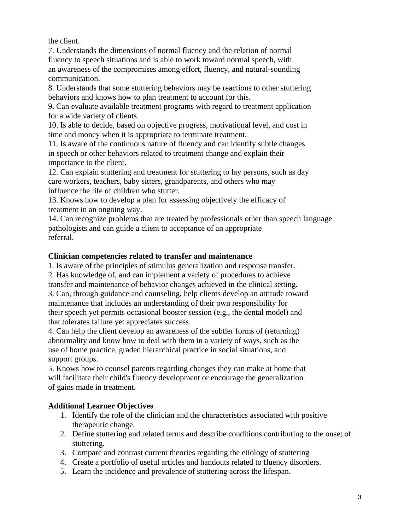the client.

7. Understands the dimensions of normal fluency and the relation of normal fluency to speech situations and is able to work toward normal speech, with an awareness of the compromises among effort, fluency, and natural-sounding communication.

8. Understands that some stuttering behaviors may be reactions to other stuttering behaviors and knows how to plan treatment to account for this.

9. Can evaluate available treatment programs with regard to treatment application for a wide variety of clients.

10. Is able to decide, based on objective progress, motivational level, and cost in time and money when it is appropriate to terminate treatment.

11. Is aware of the continuous nature of fluency and can identify subtle changes in speech or other behaviors related to treatment change and explain their importance to the client.

12. Can explain stuttering and treatment for stuttering to lay persons, such as day care workers, teachers, baby sitters, grandparents, and others who may influence the life of children who stutter.

13. Knows how to develop a plan for assessing objectively the efficacy of treatment in an ongoing way.

14. Can recognize problems that are treated by professionals other than speech language pathologists and can guide a client to acceptance of an appropriate referral.

## **Clinician competencies related to transfer and maintenance**

1. Is aware of the principles of stimulus generalization and response transfer.

2. Has knowledge of, and can implement a variety of procedures to achieve

transfer and maintenance of behavior changes achieved in the clinical setting. 3. Can, through guidance and counseling, help clients develop an attitude toward maintenance that includes an understanding of their own responsibility for their speech yet permits occasional booster session (e.g., the dental model) and that tolerates failure yet appreciates success.

4. Can help the client develop an awareness of the subtler forms of (returning) abnormality and know how to deal with them in a variety of ways, such as the use of home practice, graded hierarchical practice in social situations, and support groups.

5. Knows how to counsel parents regarding changes they can make at home that will facilitate their child's fluency development or encourage the generalization of gains made in treatment.

# **Additional Learner Objectives**

- 1. Identify the role of the clinician and the characteristics associated with positive therapeutic change.
- 2. Define stuttering and related terms and describe conditions contributing to the onset of stuttering.
- 3. Compare and contrast current theories regarding the etiology of stuttering
- 4. Create a portfolio of useful articles and handouts related to fluency disorders.
- 5. Learn the incidence and prevalence of stuttering across the lifespan.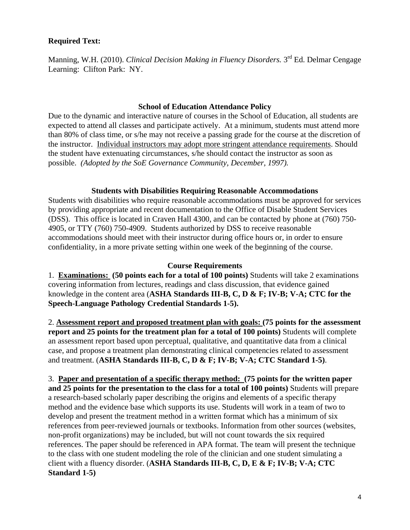## **Required Text:**

Manning, W.H. (2010). *Clinical Decision Making in Fluency Disorders*. 3<sup>rd</sup> Ed. Delmar Cengage Learning: Clifton Park: NY.

#### **School of Education Attendance Policy**

 possible. *(Adopted by the SoE Governance Community, December, 1997).* Due to the dynamic and interactive nature of courses in the School of Education, all students are expected to attend all classes and participate actively. At a minimum, students must attend more than 80% of class time, or s/he may not receive a passing grade for the course at the discretion of the instructor. Individual instructors may adopt more stringent attendance requirements. Should the student have extenuating circumstances, s/he should contact the instructor as soon as

## **Students with Disabilities Requiring Reasonable Accommodations**

Students with disabilities who require reasonable accommodations must be approved for services by providing appropriate and recent documentation to the Office of Disable Student Services (DSS). This office is located in Craven Hall 4300, and can be contacted by phone at (760) 750- 4905, or TTY (760) 750-4909. Students authorized by DSS to receive reasonable accommodations should meet with their instructor during office hours or, in order to ensure confidentiality, in a more private setting within one week of the beginning of the course.

#### **Course Requirements**

 **Speech-Language Pathology Credential Standards 1-5).** 1. **Examinations: (50 points each for a total of 100 points)** Students will take 2 examinations covering information from lectures, readings and class discussion, that evidence gained knowledge in the content area (**ASHA Standards III-B, C, D & F; IV-B; V-A; CTC for the** 

2. **Assessment report and proposed treatment plan with goals: (75 points for the assessment report and 25 points for the treatment plan for a total of 100 points)** Students will complete an assessment report based upon perceptual, qualitative, and quantitative data from a clinical case, and propose a treatment plan demonstrating clinical competencies related to assessment and treatment. (**ASHA Standards III-B, C, D & F; IV-B; V-A; CTC Standard 1-5)**.

3. **Paper and presentation of a specific therapy method: (75 points for the written paper and 25 points for the presentation to the class for a total of 100 points)** Students will prepare a research-based scholarly paper describing the origins and elements of a specific therapy method and the evidence base which supports its use. Students will work in a team of two to develop and present the treatment method in a written format which has a minimum of six references from peer-reviewed journals or textbooks. Information from other sources (websites, non-profit organizations) may be included, but will not count towards the six required references. The paper should be referenced in APA format. The team will present the technique to the class with one student modeling the role of the clinician and one student simulating a client with a fluency disorder. (**ASHA Standards III-B, C, D, E & F; IV-B; V-A; CTC Standard 1-5)**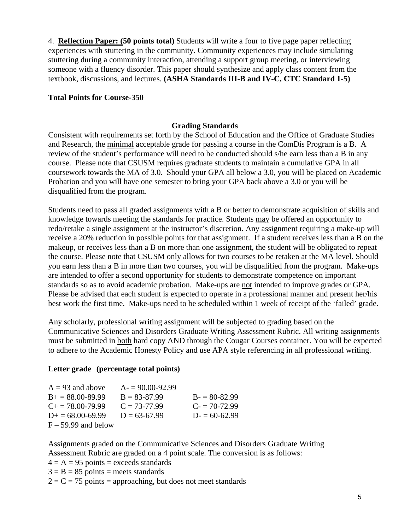4. **Reflection Paper: (50 points total)** Students will write a four to five page paper reflecting experiences with stuttering in the community. Community experiences may include simulating stuttering during a community interaction, attending a support group meeting, or interviewing someone with a fluency disorder. This paper should synthesize and apply class content from the textbook, discussions, and lectures. **(ASHA Standards III-B and IV-C, CTC Standard 1-5)** 

## **Total Points for Course-350**

## **Grading Standards**

Consistent with requirements set forth by the School of Education and the Office of Graduate Studies and Research, the minimal acceptable grade for passing a course in the ComDis Program is a B. A review of the student's performance will need to be conducted should s/he earn less than a B in any course. Please note that CSUSM requires graduate students to maintain a cumulative GPA in all coursework towards the MA of 3.0. Should your GPA all below a 3.0, you will be placed on Academic Probation and you will have one semester to bring your GPA back above a 3.0 or you will be disqualified from the program.

Students need to pass all graded assignments with a B or better to demonstrate acquisition of skills and knowledge towards meeting the standards for practice. Students may be offered an opportunity to redo/retake a single assignment at the instructor's discretion. Any assignment requiring a make-up will receive a 20% reduction in possible points for that assignment. If a student receives less than a B on the makeup, or receives less than a B on more than one assignment, the student will be obligated to repeat the course. Please note that CSUSM only allows for two courses to be retaken at the MA level. Should you earn less than a B in more than two courses, you will be disqualified from the program. Make-ups are intended to offer a second opportunity for students to demonstrate competence on important standards so as to avoid academic probation. Make-ups are not intended to improve grades or GPA. Please be advised that each student is expected to operate in a professional manner and present her/his best work the first time. Make-ups need to be scheduled within 1 week of receipt of the 'failed' grade.

Any scholarly, professional writing assignment will be subjected to grading based on the Communicative Sciences and Disorders Graduate Writing Assessment Rubric. All writing assignments must be submitted in both hard copy AND through the Cougar Courses container. You will be expected to adhere to the Academic Honesty Policy and use APA style referencing in all professional writing.

#### **Letter grade (percentage total points)**

| $A = 93$ and above        | $A = 90.00 - 92.99$ |                |
|---------------------------|---------------------|----------------|
| $B_+ = 88.00 - 89.99$     | $B = 83 - 87.99$    | $B = 80-82.99$ |
| $C_{\pm} = 78.00 - 79.99$ | $C = 73-77.99$      | $C = 70-72.99$ |
| $D_{\pm} = 68.00 - 69.99$ | $D = 63-67.99$      | $D = 60-62.99$ |
| $F - 59.99$ and below     |                     |                |

Assignments graded on the Communicative Sciences and Disorders Graduate Writing Assessment Rubric are graded on a 4 point scale. The conversion is as follows:

 $4 = A = 95$  points = exceeds standards

 $3 = B = 85$  points = meets standards

 $2 = C = 75$  points = approaching, but does not meet standards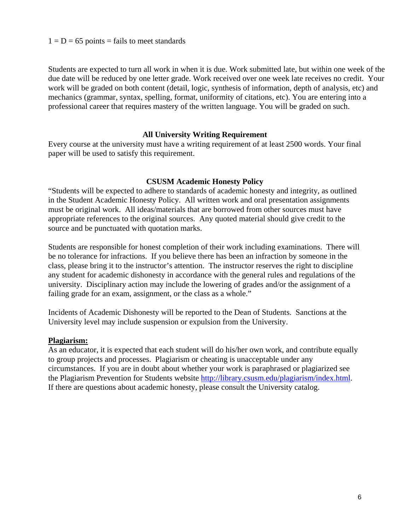#### $1 = D = 65$  points = fails to meet standards

Students are expected to turn all work in when it is due. Work submitted late, but within one week of the due date will be reduced by one letter grade. Work received over one week late receives no credit. Your work will be graded on both content (detail, logic, synthesis of information, depth of analysis, etc) and mechanics (grammar, syntax, spelling, format, uniformity of citations, etc). You are entering into a professional career that requires mastery of the written language. You will be graded on such.

#### **All University Writing Requirement**

Every course at the university must have a writing requirement of at least 2500 words. Your final paper will be used to satisfy this requirement.

#### **CSUSM Academic Honesty Policy**

"Students will be expected to adhere to standards of academic honesty and integrity, as outlined in the Student Academic Honesty Policy. All written work and oral presentation assignments must be original work. All ideas/materials that are borrowed from other sources must have appropriate references to the original sources. Any quoted material should give credit to the source and be punctuated with quotation marks.

Students are responsible for honest completion of their work including examinations. There will be no tolerance for infractions. If you believe there has been an infraction by someone in the class, please bring it to the instructor's attention. The instructor reserves the right to discipline any student for academic dishonesty in accordance with the general rules and regulations of the university. Disciplinary action may include the lowering of grades and/or the assignment of a failing grade for an exam, assignment, or the class as a whole."

Incidents of Academic Dishonesty will be reported to the Dean of Students. Sanctions at the University level may include suspension or expulsion from the University.

#### **Plagiarism:**

As an educator, it is expected that each student will do his/her own work, and contribute equally to group projects and processes. Plagiarism or cheating is unacceptable under any circumstances. If you are in doubt about whether your work is paraphrased or plagiarized see the Plagiarism Prevention for Students website http://library.csusm.edu/plagiarism/index.html. If there are questions about academic honesty, please consult the University catalog.